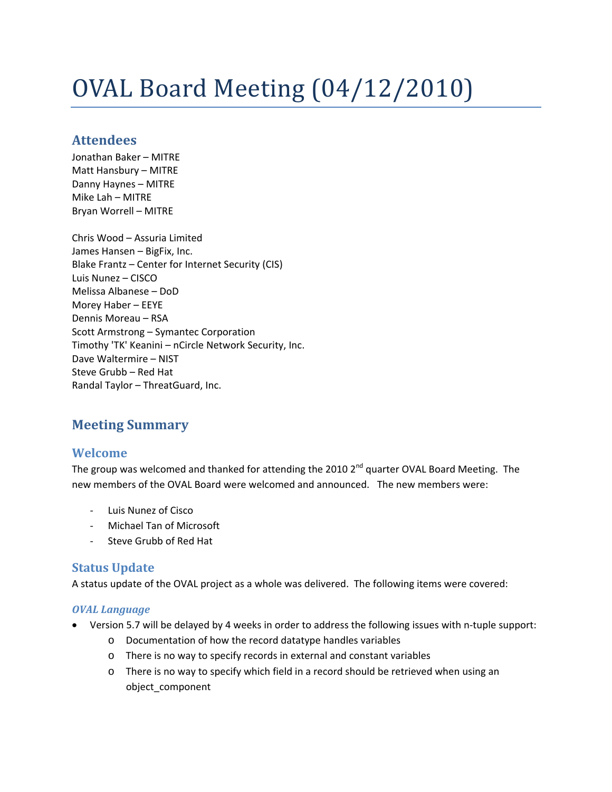# OVAL Board Meeting (04/12/2010)

# **Attendees**

Jonathan Baker – MITRE Matt Hansbury – MITRE Danny Haynes – MITRE Mike Lah – MITRE Bryan Worrell – MITRE

Chris Wood – Assuria Limited James Hansen – BigFix, Inc. Blake Frantz – Center for Internet Security (CIS) Luis Nunez – CISCO Melissa Albanese – DoD Morey Haber – EEYE Dennis Moreau – RSA Scott Armstrong – Symantec Corporation Timothy 'TK' Keanini – nCircle Network Security, Inc. Dave Waltermire – NIST Steve Grubb – Red Hat Randal Taylor – ThreatGuard, Inc.

# **Meeting Summary**

## **Welcome**

The group was welcomed and thanked for attending the 2010  $2^{nd}$  quarter OVAL Board Meeting. The new members of the OVAL Board were welcomed and announced. The new members were:

- ‐ Luis Nunez of Cisco
- ‐ Michael Tan of Microsoft
- ‐ Steve Grubb of Red Hat

## **Status Update**

A status update of the OVAL project as a whole was delivered. The following items were covered:

#### *OVAL Language*

- Version 5.7 will be delayed by 4 weeks in order to address the following issues with n-tuple support:
	- o Documentation of how the record datatype handles variables
	- o There is no way to specify records in external and constant variables
	- o There is no way to specify which field in a record should be retrieved when using an object\_component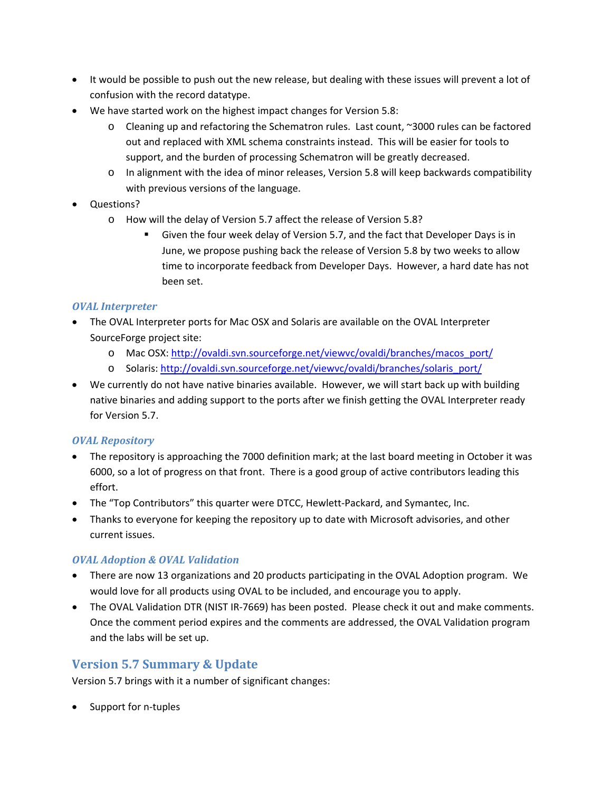- It would be possible to push out the new release, but dealing with these issues will prevent a lot of confusion with the record datatype.
- We have started work on the highest impact changes for Version 5.8:
	- o Cleaning up and refactoring the Schematron rules. Last count, ~3000 rules can be factored out and replaced with XML schema constraints instead. This will be easier for tools to support, and the burden of processing Schematron will be greatly decreased.
	- o In alignment with the idea of minor releases, Version 5.8 will keep backwards compatibility with previous versions of the language.
- Questions?
	- o How will the delay of Version 5.7 affect the release of Version 5.8?
		- Given the four week delay of Version 5.7, and the fact that Developer Days is in June, we propose pushing back the release of Version 5.8 by two weeks to allow time to incorporate feedback from Developer Days. However, a hard date has not been set.

#### *OVAL Interpreter*

- The OVAL Interpreter ports for Mac OSX and Solaris are available on the OVAL Interpreter SourceForge project site:
	- o Mac OSX: [http://ovaldi.svn.sourceforge.net/viewvc/ovaldi/branches/macos\\_port/](http://ovaldi.svn.sourceforge.net/viewvc/ovaldi/branches/macos_port/)
	- o Solaris: [http://ovaldi.svn.sourceforge.net/viewvc/ovaldi/branches/solaris\\_port/](http://ovaldi.svn.sourceforge.net/viewvc/ovaldi/branches/solaris_port/)
- We currently do not have native binaries available. However, we will start back up with building native binaries and adding support to the ports after we finish getting the OVAL Interpreter ready for Version 5.7.

#### *OVAL Repository*

- The repository is approaching the 7000 definition mark; at the last board meeting in October it was 6000, so a lot of progress on that front. There is a good group of active contributors leading this effort.
- The "Top Contributors" this quarter were DTCC, Hewlett-Packard, and Symantec, Inc.
- Thanks to everyone for keeping the repository up to date with Microsoft advisories, and other current issues.

#### *OVAL Adoption & OVAL Validation*

- There are now 13 organizations and 20 products participating in the OVAL Adoption program. We would love for all products using OVAL to be included, and encourage you to apply.
- The OVAL Validation DTR (NIST IR-7669) has been posted. Please check it out and make comments. Once the comment period expires and the comments are addressed, the OVAL Validation program and the labs will be set up.

# **Version 5.7 Summary & Update**

Version 5.7 brings with it a number of significant changes:

• Support for n-tuples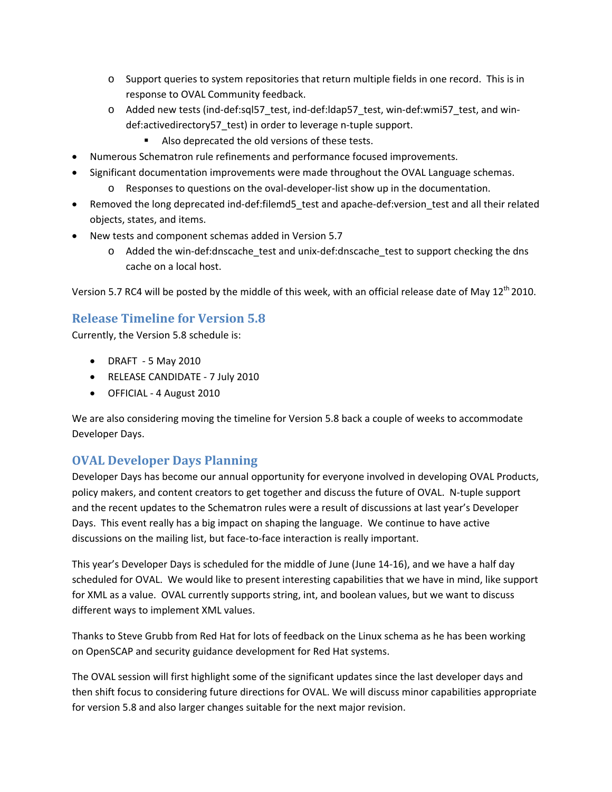- $\circ$  Support queries to system repositories that return multiple fields in one record. This is in response to OVAL Community feedback.
- o Added new tests (ind‐def:sql57\_test, ind‐def:ldap57\_test, win‐def:wmi57\_test, and win‐ def:activedirectory57\_test) in order to leverage n‐tuple support.
	- Also deprecated the old versions of these tests.
- Numerous Schematron rule refinements and performance focused improvements.
- Significant documentation improvements were made throughout the OVAL Language schemas.
	- o Responses to questions on the oval‐developer‐list show up in the documentation.
- Removed the long deprecated ind-def: filemd5 test and apache-def: version test and all their related objects, states, and items.
- New tests and component schemas added in Version 5.7
	- o Added the win‐def:dnscache\_test and unix‐def:dnscache\_test to support checking the dns cache on a local host.

Version 5.7 RC4 will be posted by the middle of this week, with an official release date of May 12<sup>th</sup> 2010.

# **Release Timeline for Version 5.8**

Currently, the Version 5.8 schedule is:

- DRAFT 5 May 2010
- RELEASE CANDIDATE ‐ 7 July 2010
- OFFICIAL ‐ 4 August 2010

We are also considering moving the timeline for Version 5.8 back a couple of weeks to accommodate Developer Days.

## **OVAL Developer Days Planning**

Developer Days has become our annual opportunity for everyone involved in developing OVAL Products, policy makers, and content creators to get together and discuss the future of OVAL. N‐tuple support and the recent updates to the Schematron rules were a result of discussions at last year's Developer Days. This event really has a big impact on shaping the language. We continue to have active discussions on the mailing list, but face‐to‐face interaction is really important.

This year's Developer Days is scheduled for the middle of June (June 14‐16), and we have a half day scheduled for OVAL. We would like to present interesting capabilities that we have in mind, like support for XML as a value. OVAL currently supports string, int, and boolean values, but we want to discuss different ways to implement XML values.

Thanks to Steve Grubb from Red Hat for lots of feedback on the Linux schema as he has been working on OpenSCAP and security guidance development for Red Hat systems.

The OVAL session will first highlight some of the significant updates since the last developer days and then shift focus to considering future directions for OVAL. We will discuss minor capabilities appropriate for version 5.8 and also larger changes suitable for the next major revision.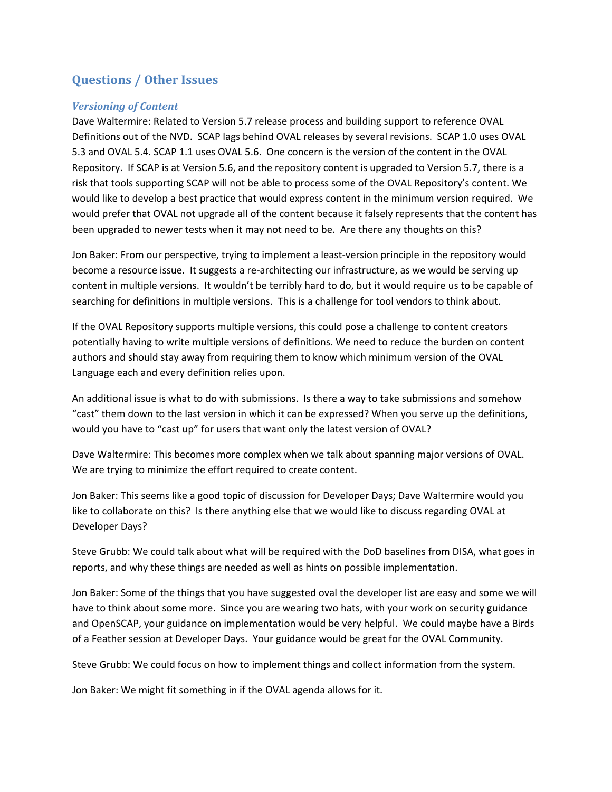# **Questions / Other Issues**

#### *Versioning of Content*

Dave Waltermire: Related to Version 5.7 release process and building support to reference OVAL Definitions out of the NVD. SCAP lags behind OVAL releases by several revisions. SCAP 1.0 uses OVAL 5.3 and OVAL 5.4. SCAP 1.1 uses OVAL 5.6. One concern is the version of the content in the OVAL Repository. If SCAP is at Version 5.6, and the repository content is upgraded to Version 5.7, there is a risk that tools supporting SCAP will not be able to process some of the OVAL Repository's content. We would like to develop a best practice that would express content in the minimum version required. We would prefer that OVAL not upgrade all of the content because it falsely represents that the content has been upgraded to newer tests when it may not need to be. Are there any thoughts on this?

Jon Baker: From our perspective, trying to implement a least-version principle in the repository would become a resource issue. It suggests a re-architecting our infrastructure, as we would be serving up content in multiple versions. It wouldn't be terribly hard to do, but it would require us to be capable of searching for definitions in multiple versions. This is a challenge for tool vendors to think about.

If the OVAL Repository supports multiple versions, this could pose a challenge to content creators potentially having to write multiple versions of definitions. We need to reduce the burden on content authors and should stay away from requiring them to know which minimum version of the OVAL Language each and every definition relies upon.

An additional issue is what to do with submissions. Is there a way to take submissions and somehow "cast" them down to the last version in which it can be expressed? When you serve up the definitions, would you have to "cast up" for users that want only the latest version of OVAL?

Dave Waltermire: This becomes more complex when we talk about spanning major versions of OVAL. We are trying to minimize the effort required to create content.

Jon Baker: This seems like a good topic of discussion for Developer Days; Dave Waltermire would you like to collaborate on this? Is there anything else that we would like to discuss regarding OVAL at Developer Days?

Steve Grubb: We could talk about what will be required with the DoD baselines from DISA, what goes in reports, and why these things are needed as well as hints on possible implementation.

Jon Baker: Some of the things that you have suggested oval the developer list are easy and some we will have to think about some more. Since you are wearing two hats, with your work on security guidance and OpenSCAP, your guidance on implementation would be very helpful. We could maybe have a Birds of a Feather session at Developer Days. Your guidance would be great for the OVAL Community.

Steve Grubb: We could focus on how to implement things and collect information from the system.

Jon Baker: We might fit something in if the OVAL agenda allows for it.